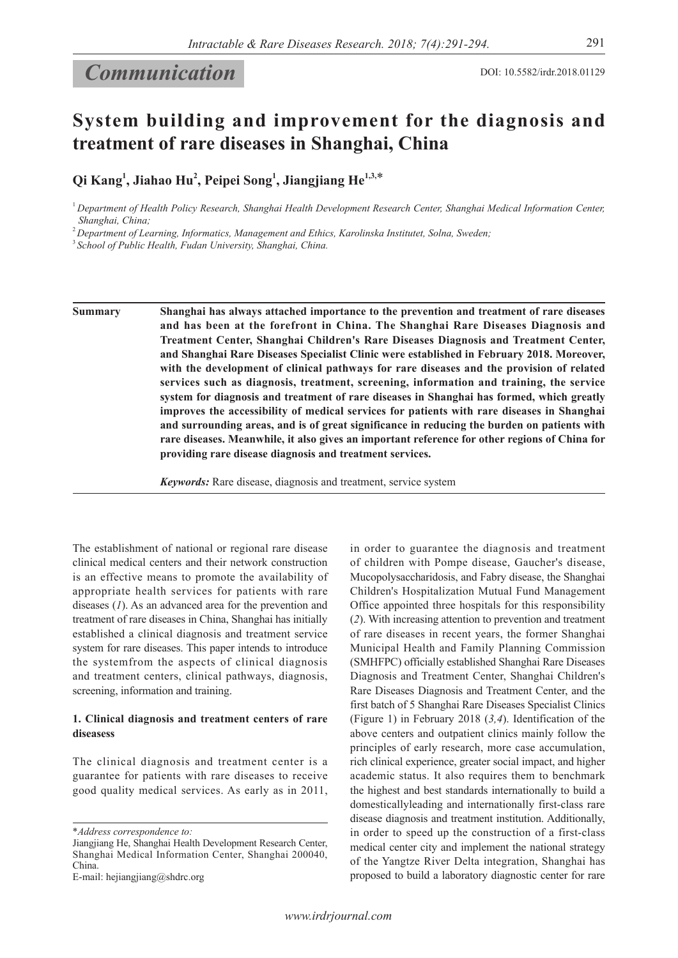# **Communication** DOI: 10.5582/irdr.2018.01129

## **System building and improvement for the diagnosis and treatment of rare diseases in Shanghai, China**

**Qi Kang1 , Jiahao Hu2 , Peipei Song1 , Jiangjiang He1,3,**\*

<sup>2</sup>*Department of Learning, Informatics, Management and Ethics, Karolinska Institutet, Solna, Sweden;*

<sup>3</sup>*School of Public Health, Fudan University, Shanghai, China.*

**Summary Shanghai has always attached importance to the prevention and treatment of rare diseases and has been at the forefront in China. The Shanghai Rare Diseases Diagnosis and Treatment Center, Shanghai Children's Rare Diseases Diagnosis and Treatment Center, and Shanghai Rare Diseases Specialist Clinic were established in February 2018. Moreover, with the development of clinical pathways for rare diseases and the provision of related services such as diagnosis, treatment, screening, information and training, the service system for diagnosis and treatment of rare diseases in Shanghai has formed, which greatly improves the accessibility of medical services for patients with rare diseases in Shanghai and surrounding areas, and is of great significance in reducing the burden on patients with rare diseases. Meanwhile, it also gives an important reference for other regions of China for providing rare disease diagnosis and treatment services.**

*Keywords:* Rare disease, diagnosis and treatment, service system

The establishment of national or regional rare disease clinical medical centers and their network construction is an effective means to promote the availability of appropriate health services for patients with rare diseases (*1*). As an advanced area for the prevention and treatment of rare diseases in China, Shanghai has initially established a clinical diagnosis and treatment service system for rare diseases. This paper intends to introduce the systemfrom the aspects of clinical diagnosis and treatment centers, clinical pathways, diagnosis, screening, information and training.

#### **1. Clinical diagnosis and treatment centers of rare diseasess**

The clinical diagnosis and treatment center is a guarantee for patients with rare diseases to receive good quality medical services. As early as in 2011, in order to guarantee the diagnosis and treatment of children with Pompe disease, Gaucher's disease, Mucopolysaccharidosis, and Fabry disease, the Shanghai Children's Hospitalization Mutual Fund Management Office appointed three hospitals for this responsibility (*2*). With increasing attention to prevention and treatment of rare diseases in recent years, the former Shanghai Municipal Health and Family Planning Commission (SMHFPC) officially established Shanghai Rare Diseases Diagnosis and Treatment Center, Shanghai Children's Rare Diseases Diagnosis and Treatment Center, and the first batch of 5 Shanghai Rare Diseases Specialist Clinics (Figure 1) in February 2018 (*3,4*). Identification of the above centers and outpatient clinics mainly follow the principles of early research, more case accumulation, rich clinical experience, greater social impact, and higher academic status. It also requires them to benchmark the highest and best standards internationally to build a domesticallyleading and internationally first-class rare disease diagnosis and treatment institution. Additionally, in order to speed up the construction of a first-class medical center city and implement the national strategy of the Yangtze River Delta integration, Shanghai has proposed to build a laboratory diagnostic center for rare

<sup>1</sup>*Department of Health Policy Research, Shanghai Health Development Research Center, Shanghai Medical Information Center, Shanghai, China;*

<sup>\*</sup>*Address correspondence to:*

Jiangjiang He, Shanghai Health Development Research Center, Shanghai Medical Information Center, Shanghai 200040, China.

E-mail: hejiangjiang@shdrc.org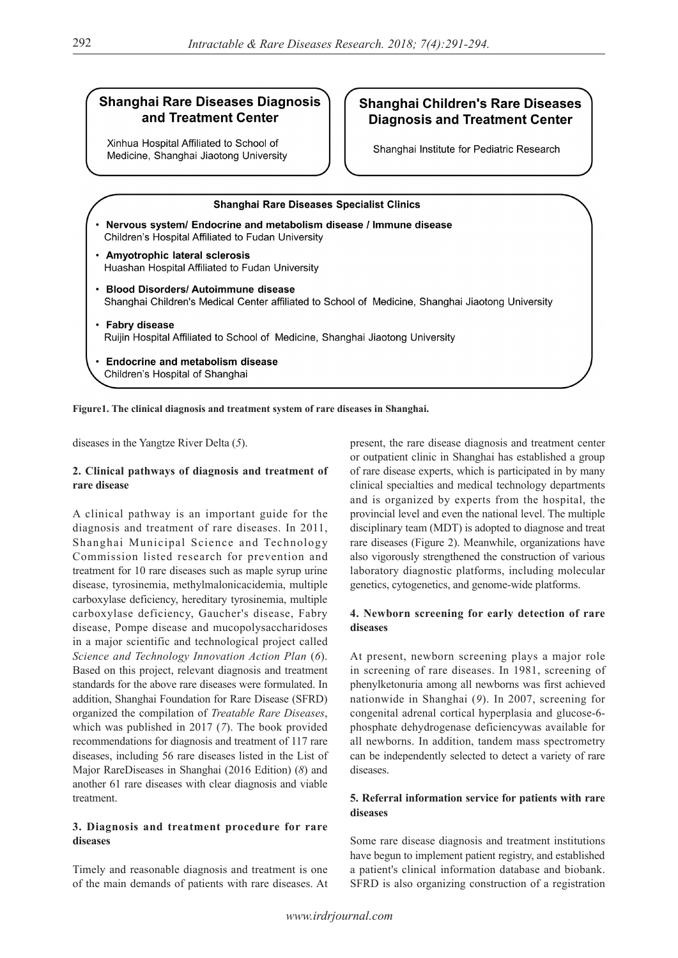### **Shanghai Rare Diseases Diagnosis** and Treatment Center

Xinhua Hospital Affiliated to School of Medicine, Shanghai Jiaotong University

## **Shanghai Children's Rare Diseases Diagnosis and Treatment Center**

Shanghai Institute for Pediatric Research

| Shanghai Rare Diseases Specialist Clinics                                                                                                       |
|-------------------------------------------------------------------------------------------------------------------------------------------------|
| Nervous system/ Endocrine and metabolism disease / Immune disease<br>Children's Hospital Affiliated to Fudan University                         |
| Amyotrophic lateral sclerosis<br>Huashan Hospital Affiliated to Fudan University                                                                |
| <b>Blood Disorders/ Autoimmune disease</b><br>Shanghai Children's Medical Center affiliated to School of Medicine, Shanghai Jiaotong University |
| <b>Fabry disease</b><br>Ruijin Hospital Affiliated to School of Medicine, Shanghai Jiaotong University                                          |
| <b>Endocrine and metabolism disease</b><br>Children's Hospital of Shanghai                                                                      |



diseases in the Yangtze River Delta (*5*).

#### **2. Clinical pathways of diagnosis and treatment of rare disease**

A clinical pathway is an important guide for the diagnosis and treatment of rare diseases. In 2011, Shanghai Municipal Science and Technology Commission listed research for prevention and treatment for 10 rare diseases such as maple syrup urine disease, tyrosinemia, methylmalonicacidemia, multiple carboxylase deficiency, hereditary tyrosinemia, multiple carboxylase deficiency, Gaucher's disease, Fabry disease, Pompe disease and mucopolysaccharidoses in a major scientific and technological project called *Science and Technology Innovation Action Plan* (*6*). Based on this project, relevant diagnosis and treatment standards for the above rare diseases were formulated. In addition, Shanghai Foundation for Rare Disease (SFRD) organized the compilation of *Treatable Rare Diseases*, which was published in 2017 (*7*). The book provided recommendations for diagnosis and treatment of 117 rare diseases, including 56 rare diseases listed in the List of Major RareDiseases in Shanghai (2016 Edition) (*8*) and another 61 rare diseases with clear diagnosis and viable treatment.

#### **3. Diagnosis and treatment procedure for rare diseases**

Timely and reasonable diagnosis and treatment is one of the main demands of patients with rare diseases. At present, the rare disease diagnosis and treatment center or outpatient clinic in Shanghai has established a group of rare disease experts, which is participated in by many clinical specialties and medical technology departments and is organized by experts from the hospital, the provincial level and even the national level. The multiple disciplinary team (MDT) is adopted to diagnose and treat rare diseases (Figure 2). Meanwhile, organizations have also vigorously strengthened the construction of various laboratory diagnostic platforms, including molecular genetics, cytogenetics, and genome-wide platforms.

#### **4. Newborn screening for early detection of rare diseases**

At present, newborn screening plays a major role in screening of rare diseases. In 1981, screening of phenylketonuria among all newborns was first achieved nationwide in Shanghai (*9*). In 2007, screening for congenital adrenal cortical hyperplasia and glucose-6 phosphate dehydrogenase deficiencywas available for all newborns. In addition, tandem mass spectrometry can be independently selected to detect a variety of rare diseases.

#### **5. Referral information service for patients with rare diseases**

Some rare disease diagnosis and treatment institutions have begun to implement patient registry, and established a patient's clinical information database and biobank. SFRD is also organizing construction of a registration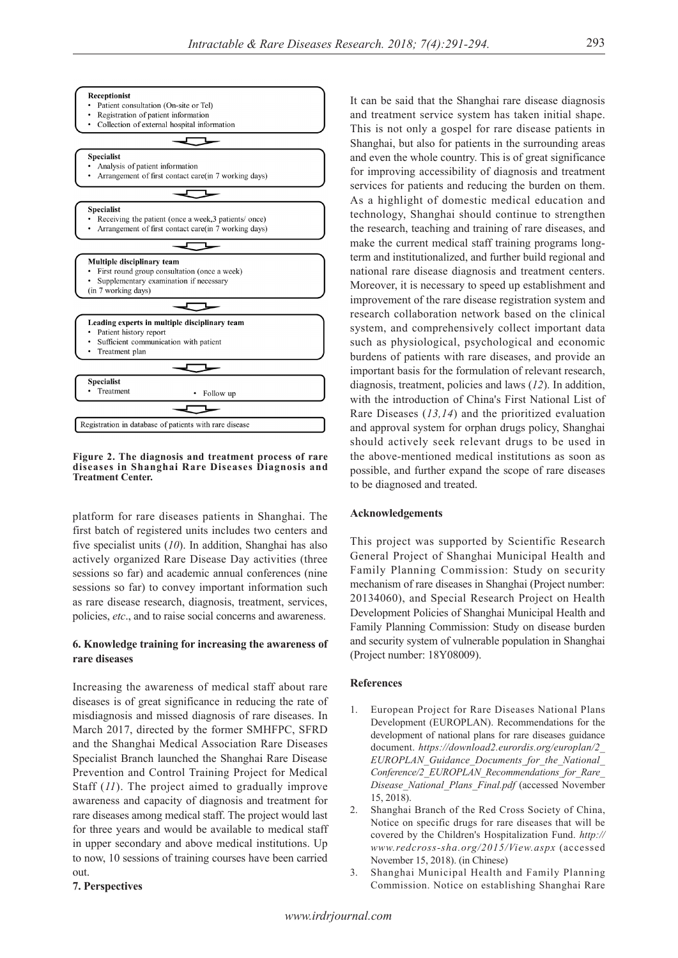

**Figure 2. The diagnosis and treatment process of rare diseases in Shanghai Rare Diseases Diagnosis and Treatment Center.**

platform for rare diseases patients in Shanghai. The first batch of registered units includes two centers and five specialist units (*10*). In addition, Shanghai has also actively organized Rare Disease Day activities (three sessions so far) and academic annual conferences (nine sessions so far) to convey important information such as rare disease research, diagnosis, treatment, services, policies, *etc*., and to raise social concerns and awareness.

#### **6. Knowledge training for increasing the awareness of rare diseases**

Increasing the awareness of medical staff about rare diseases is of great significance in reducing the rate of misdiagnosis and missed diagnosis of rare diseases. In March 2017, directed by the former SMHFPC, SFRD and the Shanghai Medical Association Rare Diseases Specialist Branch launched the Shanghai Rare Disease Prevention and Control Training Project for Medical Staff (*11*). The project aimed to gradually improve awareness and capacity of diagnosis and treatment for rare diseases among medical staff. The project would last for three years and would be available to medical staff in upper secondary and above medical institutions. Up to now, 10 sessions of training courses have been carried out.

#### **7. Perspectives**

It can be said that the Shanghai rare disease diagnosis and treatment service system has taken initial shape. This is not only a gospel for rare disease patients in Shanghai, but also for patients in the surrounding areas and even the whole country. This is of great significance for improving accessibility of diagnosis and treatment services for patients and reducing the burden on them. As a highlight of domestic medical education and technology, Shanghai should continue to strengthen the research, teaching and training of rare diseases, and make the current medical staff training programs longterm and institutionalized, and further build regional and national rare disease diagnosis and treatment centers. Moreover, it is necessary to speed up establishment and improvement of the rare disease registration system and research collaboration network based on the clinical system, and comprehensively collect important data such as physiological, psychological and economic burdens of patients with rare diseases, and provide an important basis for the formulation of relevant research, diagnosis, treatment, policies and laws (*12*). In addition, with the introduction of China's First National List of Rare Diseases (*13,14*) and the prioritized evaluation and approval system for orphan drugs policy, Shanghai should actively seek relevant drugs to be used in the above-mentioned medical institutions as soon as possible, and further expand the scope of rare diseases to be diagnosed and treated.

#### **Acknowledgements**

This project was supported by Scientific Research General Project of Shanghai Municipal Health and Family Planning Commission: Study on security mechanism of rare diseases in Shanghai (Project number: 20134060), and Special Research Project on Health Development Policies of Shanghai Municipal Health and Family Planning Commission: Study on disease burden and security system of vulnerable population in Shanghai (Project number: 18Y08009).

#### **References**

- 1. European Project for Rare Diseases National Plans Development (EUROPLAN). Recommendations for the development of national plans for rare diseases guidance document. *https://download2.eurordis.org/europlan/2\_ EUROPLAN\_Guidance\_Documents\_for\_the\_National\_ Conference/2\_EUROPLAN\_Recommendations\_for\_Rare\_ Disease\_National\_Plans\_Final.pdf* (accessed November 15, 2018).
- Shanghai Branch of the Red Cross Society of China, Notice on specific drugs for rare diseases that will be covered by the Children's Hospitalization Fund. *http:// www.redcross-sha.org/2015/View.aspx* (accessed November 15, 2018). (in Chinese)
- 3. Shanghai Municipal Health and Family Planning Commission. Notice on establishing Shanghai Rare